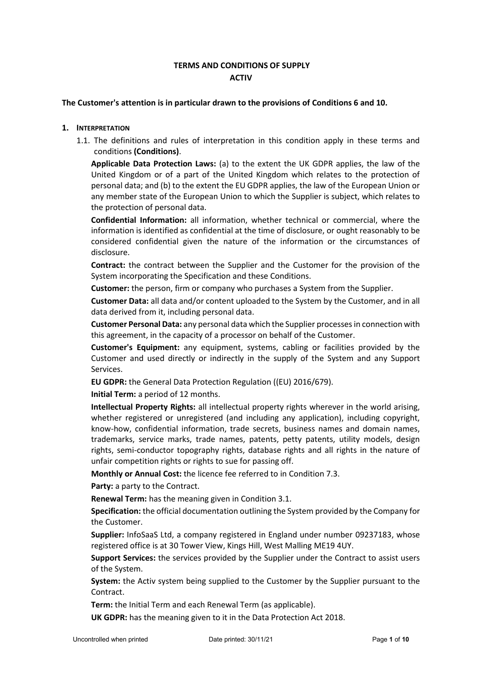# **TERMS AND CONDITIONS OF SUPPLY ACTIV**

### **The Customer's attention is in particular drawn to the provisions of Conditions [6](#page-2-0) an[d 10.](#page-4-0)**

### **1. INTERPRETATION**

1.1. The definitions and rules of interpretation in this condition apply in these terms and conditions **(Conditions)**.

**Applicable Data Protection Laws:** (a) to the extent the UK GDPR applies, the law of the United Kingdom or of a part of the United Kingdom which relates to the protection of personal data; and (b) to the extent the EU GDPR applies, the law of the European Union or any member state of the European Union to which the Supplier is subject, which relates to the protection of personal data.

**Confidential Information:** all information, whether technical or commercial, where the information is identified as confidential at the time of disclosure, or ought reasonably to be considered confidential given the nature of the information or the circumstances of disclosure.

**Contract:** the contract between the Supplier and the Customer for the provision of the System incorporating the Specification and these Conditions.

**Customer:** the person, firm or company who purchases a System from the Supplier.

**Customer Data:** all data and/or content uploaded to the System by the Customer, and in all data derived from it, including personal data.

**Customer Personal Data:** any personal data which the Supplier processes in connection with this agreement, in the capacity of a processor on behalf of the Customer.

**Customer's Equipment:** any equipment, systems, cabling or facilities provided by the Customer and used directly or indirectly in the supply of the System and any Support Services.

**EU GDPR:** the General Data Protection Regulation ((EU) 2016/679).

**Initial Term:** a period of 12 months.

**Intellectual Property Rights:** all intellectual property rights wherever in the world arising, whether registered or unregistered (and including any application), including copyright, know-how, confidential information, trade secrets, business names and domain names, trademarks, service marks, trade names, patents, petty patents, utility models, design rights, semi-conductor topography rights, database rights and all rights in the nature of unfair competition rights or rights to sue for passing off.

**Monthly or Annual Cost:** the licence fee referred to in Condition [7.3.](#page-3-0)

Party: a party to the Contract.

**Renewal Term:** has the meaning given in Condition 3.1.

**Specification:** the official documentation outlining the System provided by the Company for the Customer.

**Supplier:** InfoSaaS Ltd, a company registered in England under number 09237183, whose registered office is at 30 Tower View, Kings Hill, West Malling ME19 4UY.

**Support Services:** the services provided by the Supplier under the Contract to assist users of the System.

**System:** the Activ system being supplied to the Customer by the Supplier pursuant to the Contract.

**Term:** the Initial Term and each Renewal Term (as applicable).

**UK GDPR:** has the meaning given to it in the Data Protection Act 2018.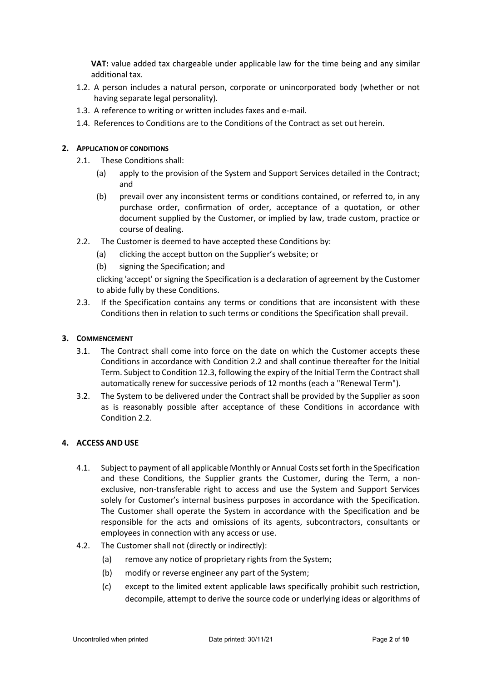**VAT:** value added tax chargeable under applicable law for the time being and any similar additional tax.

- 1.2. A person includes a natural person, corporate or unincorporated body (whether or not having separate legal personality).
- 1.3. A reference to writing or written includes faxes and e-mail.
- 1.4. References to Conditions are to the Conditions of the Contract as set out herein.

# **2. APPLICATION OF CONDITIONS**

- 2.1. These Conditions shall:
	- (a) apply to the provision of the System and Support Services detailed in the Contract; and
	- (b) prevail over any inconsistent terms or conditions contained, or referred to, in any purchase order, confirmation of order, acceptance of a quotation, or other document supplied by the Customer, or implied by law, trade custom, practice or course of dealing.
- 2.2. The Customer is deemed to have accepted these Conditions by:
	- (a) clicking the accept button on the Supplier's website; or
	- (b) signing the Specification; and

clicking 'accept' or signing the Specification is a declaration of agreement by the Customer to abide fully by these Conditions.

2.3. If the Specification contains any terms or conditions that are inconsistent with these Conditions then in relation to such terms or conditions the Specification shall prevail.

## **3. COMMENCEMENT**

- 3.1. The Contract shall come into force on the date on which the Customer accepts these Conditions in accordance with Condition 2.2 and shall continue thereafter for the Initial Term. Subject to Conditio[n 12.3,](#page-7-0) following the expiry of the Initial Term the Contract shall automatically renew for successive periods of 12 months (each a "Renewal Term").
- 3.2. The System to be delivered under the Contract shall be provided by the Supplier as soon as is reasonably possible after acceptance of these Conditions in accordance with Condition 2.2.

### **4. ACCESS AND USE**

- 4.1. Subject to payment of all applicable Monthly or Annual Costs set forth in the Specification and these Conditions, the Supplier grants the Customer, during the Term, a nonexclusive, non-transferable right to access and use the System and Support Services solely for Customer's internal business purposes in accordance with the Specification. The Customer shall operate the System in accordance with the Specification and be responsible for the acts and omissions of its agents, subcontractors, consultants or employees in connection with any access or use.
- 4.2. The Customer shall not (directly or indirectly):
	- (a) remove any notice of proprietary rights from the System;
	- (b) modify or reverse engineer any part of the System;
	- (c) except to the limited extent applicable laws specifically prohibit such restriction, decompile, attempt to derive the source code or underlying ideas or algorithms of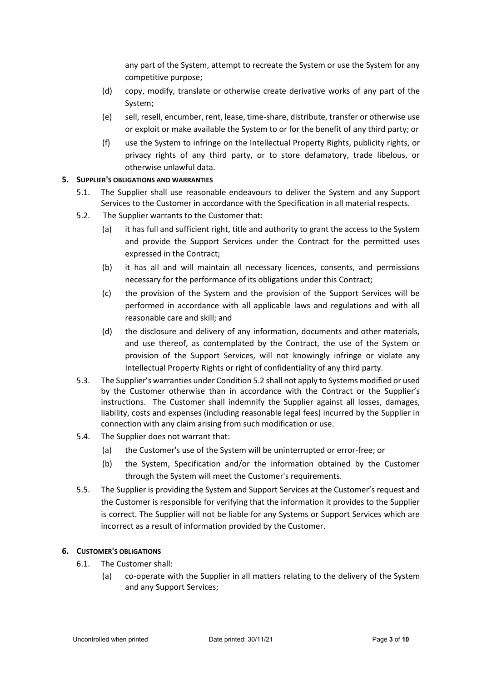any part of the System, attempt to recreate the System or use the System for any competitive purpose;

- (d) copy, modify, translate or otherwise create derivative works of any part of the System;
- (e) sell, resell, encumber, rent, lease, time-share, distribute, transfer or otherwise use or exploit or make available the System to or for the benefit of any third party; or
- (f) use the System to infringe on the Intellectual Property Rights, publicity rights, or privacy rights of any third party, or to store defamatory, trade libelous, or otherwise unlawful data.

#### **5. SUPPLIER'S OBLIGATIONS AND WARRANTIES**

- 5.1. The Supplier shall use reasonable endeavours to deliver the System and any Support Services to the Customer in accordance with the Specification in all material respects.
- <span id="page-2-1"></span>5.2. The Supplier warrants to the Customer that:
	- (a) it has full and sufficient right, title and authority to grant the access to the System and provide the Support Services under the Contract for the permitted uses expressed in the Contract;
	- (b) it has all and will maintain all necessary licences, consents, and permissions necessary for the performance of its obligations under this Contract;
	- (c) the provision of the System and the provision of the Support Services will be performed in accordance with all applicable laws and regulations and with all reasonable care and skill; and
	- (d) the disclosure and delivery of any information, documents and other materials, and use thereof, as contemplated by the Contract, the use of the System or provision of the Support Services, will not knowingly infringe or violate any Intellectual Property Rights or right of confidentiality of any third party.
- <span id="page-2-2"></span>5.3. The Supplier's warranties under Conditio[n 5.2](#page-2-1) shall not apply to Systems modified or used by the Customer otherwise than in accordance with the Contract or the Supplier's instructions. The Customer shall indemnify the Supplier against all losses, damages, liability, costs and expenses (including reasonable legal fees) incurred by the Supplier in connection with any claim arising from such modification or use.
- 5.4. The Supplier does not warrant that:
	- (a) the Customer's use of the System will be uninterrupted or error-free; or
	- (b) the System, Specification and/or the information obtained by the Customer through the System will meet the Customer's requirements.
- 5.5. The Supplier is providing the System and Support Services at the Customer's request and the Customer is responsible for verifying that the information it provides to the Supplier is correct. The Supplier will not be liable for any Systems or Support Services which are incorrect as a result of information provided by the Customer.

### **6. CUSTOMER'S OBLIGATIONS**

- <span id="page-2-0"></span>6.1. The Customer shall:
	- (a) co-operate with the Supplier in all matters relating to the delivery of the System and any Support Services;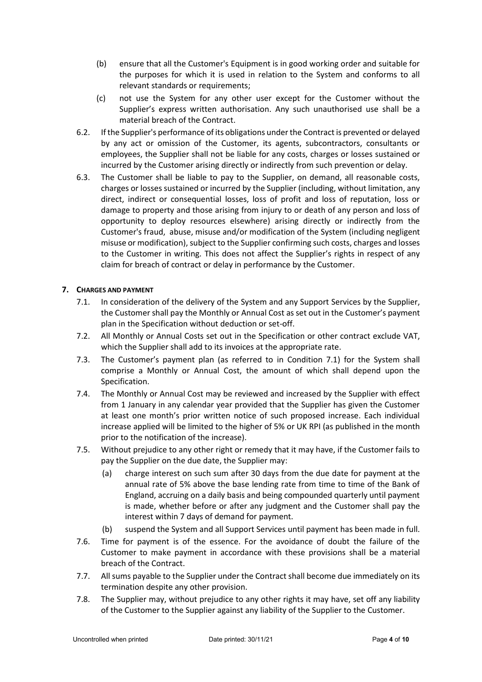- (b) ensure that all the Customer's Equipment is in good working order and suitable for the purposes for which it is used in relation to the System and conforms to all relevant standards or requirements;
- (c) not use the System for any other user except for the Customer without the Supplier's express written authorisation. Any such unauthorised use shall be a material breach of the Contract.
- <span id="page-3-2"></span>6.2. If the Supplier's performance of its obligations under the Contract is prevented or delayed by any act or omission of the Customer, its agents, subcontractors, consultants or employees, the Supplier shall not be liable for any costs, charges or losses sustained or incurred by the Customer arising directly or indirectly from such prevention or delay.
- <span id="page-3-3"></span>6.3. The Customer shall be liable to pay to the Supplier, on demand, all reasonable costs, charges or losses sustained or incurred by the Supplier (including, without limitation, any direct, indirect or consequential losses, loss of profit and loss of reputation, loss or damage to property and those arising from injury to or death of any person and loss of opportunity to deploy resources elsewhere) arising directly or indirectly from the Customer's fraud, abuse, misuse and/or modification of the System (including negligent misuse or modification), subject to the Supplier confirming such costs, charges and losses to the Customer in writing. This does not affect the Supplier's rights in respect of any claim for breach of contract or delay in performance by the Customer.

# <span id="page-3-1"></span>**7. CHARGES AND PAYMENT**

- 7.1. In consideration of the delivery of the System and any Support Services by the Supplier, the Customer shall pay the Monthly or Annual Cost as set out in the Customer's payment plan in the Specification without deduction or set-off.
- 7.2. All Monthly or Annual Costs set out in the Specification or other contract exclude VAT, which the Supplier shall add to its invoices at the appropriate rate.
- <span id="page-3-0"></span>7.3. The Customer's payment plan (as referred to in Condition [7.1\)](#page-3-1) for the System shall comprise a Monthly or Annual Cost, the amount of which shall depend upon the Specification.
- 7.4. The Monthly or Annual Cost may be reviewed and increased by the Supplier with effect from 1 January in any calendar year provided that the Supplier has given the Customer at least one month's prior written notice of such proposed increase. Each individual increase applied will be limited to the higher of 5% or UK RPI (as published in the month prior to the notification of the increase).
- 7.5. Without prejudice to any other right or remedy that it may have, if the Customer fails to pay the Supplier on the due date, the Supplier may:
	- (a) charge interest on such sum after 30 days from the due date for payment at the annual rate of 5% above the base lending rate from time to time of the Bank of England, accruing on a daily basis and being compounded quarterly until payment is made, whether before or after any judgment and the Customer shall pay the interest within 7 days of demand for payment.
	- (b) suspend the System and all Support Services until payment has been made in full.
- 7.6. Time for payment is of the essence. For the avoidance of doubt the failure of the Customer to make payment in accordance with these provisions shall be a material breach of the Contract.
- 7.7. All sums payable to the Supplier under the Contract shall become due immediately on its termination despite any other provision.
- 7.8. The Supplier may, without prejudice to any other rights it may have, set off any liability of the Customer to the Supplier against any liability of the Supplier to the Customer.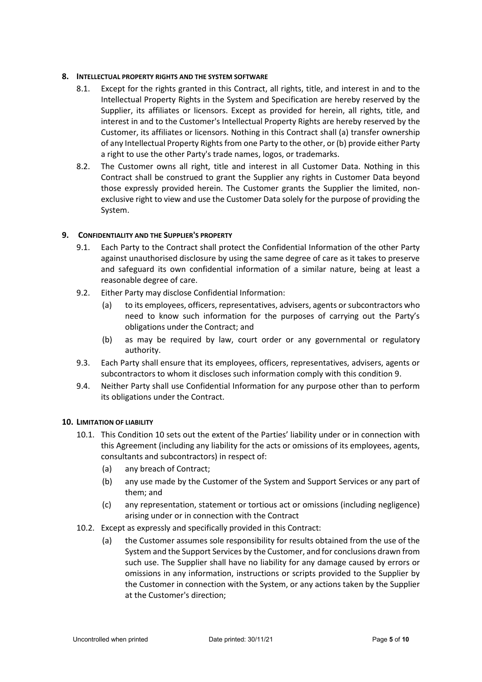## **8. INTELLECTUAL PROPERTY RIGHTS AND THE SYSTEM SOFTWARE**

- 8.1. Except for the rights granted in this Contract, all rights, title, and interest in and to the Intellectual Property Rights in the System and Specification are hereby reserved by the Supplier, its affiliates or licensors. Except as provided for herein, all rights, title, and interest in and to the Customer's Intellectual Property Rights are hereby reserved by the Customer, its affiliates or licensors. Nothing in this Contract shall (a) transfer ownership of any Intellectual Property Rights from one Party to the other, or (b) provide either Party a right to use the other Party's trade names, logos, or trademarks.
- 8.2. The Customer owns all right, title and interest in all Customer Data. Nothing in this Contract shall be construed to grant the Supplier any rights in Customer Data beyond those expressly provided herein. The Customer grants the Supplier the limited, nonexclusive right to view and use the Customer Data solely for the purpose of providing the System.

# **9. CONFIDENTIALITY AND THE SUPPLIER'S PROPERTY**

- <span id="page-4-1"></span>9.1. Each Party to the Contract shall protect the Confidential Information of the other Party against unauthorised disclosure by using the same degree of care as it takes to preserve and safeguard its own confidential information of a similar nature, being at least a reasonable degree of care.
- 9.2. Either Party may disclose Confidential Information:
	- (a) to its employees, officers, representatives, advisers, agents or subcontractors who need to know such information for the purposes of carrying out the Party's obligations under the Contract; and
	- (b) as may be required by law, court order or any governmental or regulatory authority.
- 9.3. Each Party shall ensure that its employees, officers, representatives, advisers, agents or subcontractors to whom it discloses such information comply with this conditio[n 9.](#page-4-1)
- 9.4. Neither Party shall use Confidential Information for any purpose other than to perform its obligations under the Contract.

### <span id="page-4-0"></span>**10. LIMITATION OF LIABILITY**

- 10.1. This Condition [10](#page-4-0) sets out the extent of the Parties' liability under or in connection with this Agreement (including any liability for the acts or omissions of its employees, agents, consultants and subcontractors) in respect of:
	- (a) any breach of Contract;
	- (b) any use made by the Customer of the System and Support Services or any part of them; and
	- (c) any representation, statement or tortious act or omissions (including negligence) arising under or in connection with the Contract
- <span id="page-4-2"></span>10.2. Except as expressly and specifically provided in this Contract:
	- (a) the Customer assumes sole responsibility for results obtained from the use of the System and the Support Services by the Customer, and for conclusions drawn from such use. The Supplier shall have no liability for any damage caused by errors or omissions in any information, instructions or scripts provided to the Supplier by the Customer in connection with the System, or any actions taken by the Supplier at the Customer's direction;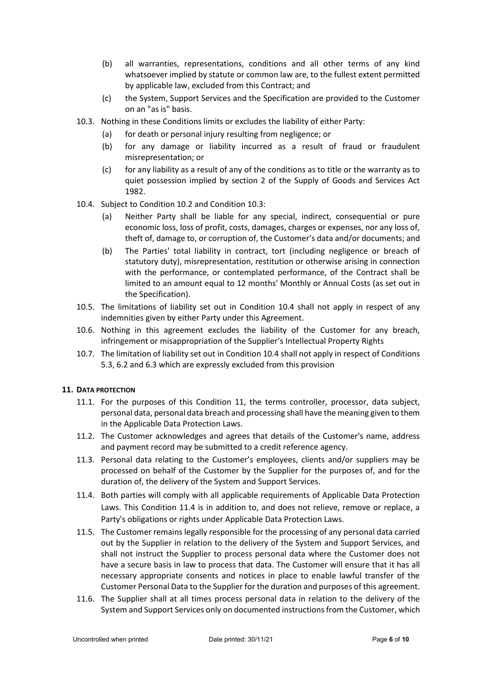- (b) all warranties, representations, conditions and all other terms of any kind whatsoever implied by statute or common law are, to the fullest extent permitted by applicable law, excluded from this Contract; and
- (c) the System, Support Services and the Specification are provided to the Customer on an "as is" basis.
- <span id="page-5-0"></span>10.3. Nothing in these Conditions limits or excludes the liability of either Party:
	- (a) for death or personal injury resulting from negligence; or
	- (b) for any damage or liability incurred as a result of fraud or fraudulent misrepresentation; or
	- (c) for any liability as a result of any of the conditions as to title or the warranty as to quiet possession implied by section 2 of the Supply of Goods and Services Act 1982.
- <span id="page-5-1"></span>10.4. Subject to Condition [10.2](#page-4-2) and Condition [10.3:](#page-5-0)
	- (a) Neither Party shall be liable for any special, indirect, consequential or pure economic loss, loss of profit, costs, damages, charges or expenses, nor any loss of, theft of, damage to, or corruption of, the Customer's data and/or documents; and
	- (b) The Parties' total liability in contract, tort (including negligence or breach of statutory duty), misrepresentation, restitution or otherwise arising in connection with the performance, or contemplated performance, of the Contract shall be limited to an amount equal to 12 months' Monthly or Annual Costs (as set out in the Specification).
- 10.5. The limitations of liability set out in Condition [10.4](#page-5-1) shall not apply in respect of any indemnities given by either Party under this Agreement.
- 10.6. Nothing in this agreement excludes the liability of the Customer for any breach, infringement or misappropriation of the Supplier's Intellectual Property Rights
- 10.7. The limitation of liability set out in Condition [10.4](#page-5-1) shall not apply in respect of Conditions [5.3,](#page-2-2) [6.2](#page-3-2) and [6.3](#page-3-3) which are expressly excluded from this provision

### <span id="page-5-2"></span>**11. DATA PROTECTION**

- 11.1. For the purposes of this Condition [11,](#page-5-2) the terms controller, processor, data subject, personal data, personal data breach and processing shall have the meaning given to them in the Applicable Data Protection Laws.
- 11.2. The Customer acknowledges and agrees that details of the Customer's name, address and payment record may be submitted to a credit reference agency.
- 11.3. Personal data relating to the Customer's employees, clients and/or suppliers may be processed on behalf of the Customer by the Supplier for the purposes of, and for the duration of, the delivery of the System and Support Services.
- <span id="page-5-3"></span>11.4. Both parties will comply with all applicable requirements of Applicable Data Protection Laws. This Condition [11.4](#page-5-3) is in addition to, and does not relieve, remove or replace, a Party's obligations or rights under Applicable Data Protection Laws.
- 11.5. The Customer remains legally responsible for the processing of any personal data carried out by the Supplier in relation to the delivery of the System and Support Services, and shall not instruct the Supplier to process personal data where the Customer does not have a secure basis in law to process that data. The Customer will ensure that it has all necessary appropriate consents and notices in place to enable lawful transfer of the Customer Personal Data to the Supplier for the duration and purposes of this agreement.
- 11.6. The Supplier shall at all times process personal data in relation to the delivery of the System and Support Services only on documented instructions from the Customer, which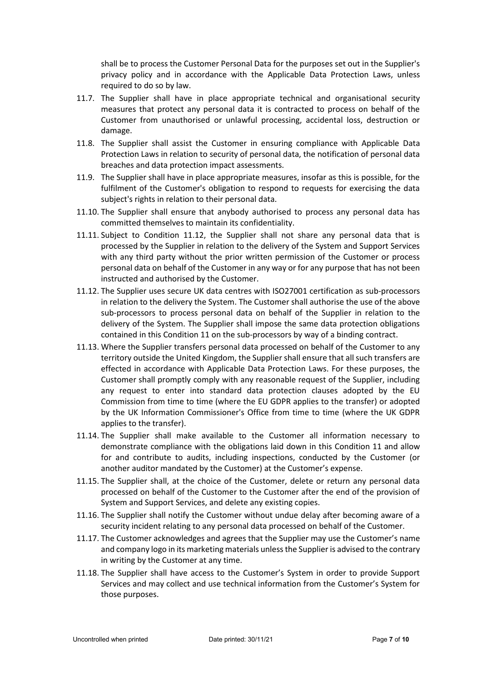shall be to process the Customer Personal Data for the purposes set out in the Supplier's privacy policy and in accordance with the Applicable Data Protection Laws, unless required to do so by law.

- 11.7. The Supplier shall have in place appropriate technical and organisational security measures that protect any personal data it is contracted to process on behalf of the Customer from unauthorised or unlawful processing, accidental loss, destruction or damage.
- 11.8. The Supplier shall assist the Customer in ensuring compliance with Applicable Data Protection Laws in relation to security of personal data, the notification of personal data breaches and data protection impact assessments.
- 11.9. The Supplier shall have in place appropriate measures, insofar as this is possible, for the fulfilment of the Customer's obligation to respond to requests for exercising the data subject's rights in relation to their personal data.
- 11.10. The Supplier shall ensure that anybody authorised to process any personal data has committed themselves to maintain its confidentiality.
- 11.11. Subject to Condition [11.12,](#page-6-0) the Supplier shall not share any personal data that is processed by the Supplier in relation to the delivery of the System and Support Services with any third party without the prior written permission of the Customer or process personal data on behalf of the Customer in any way or for any purpose that has not been instructed and authorised by the Customer.
- <span id="page-6-0"></span>11.12. The Supplier uses secure UK data centres with ISO27001 certification as sub-processors in relation to the delivery the System. The Customer shall authorise the use of the above sub-processors to process personal data on behalf of the Supplier in relation to the delivery of the System. The Supplier shall impose the same data protection obligations contained in this Condition [11](#page-5-2) on the sub-processors by way of a binding contract.
- 11.13. Where the Supplier transfers personal data processed on behalf of the Customer to any territory outside the United Kingdom, the Supplier shall ensure that all such transfers are effected in accordance with Applicable Data Protection Laws. For these purposes, the Customer shall promptly comply with any reasonable request of the Supplier, including any request to enter into standard data protection clauses adopted by the EU Commission from time to time (where the EU GDPR applies to the transfer) or adopted by the UK Information Commissioner's Office from time to time (where the UK GDPR applies to the transfer).
- 11.14. The Supplier shall make available to the Customer all information necessary to demonstrate compliance with the obligations laid down in this Condition [11](#page-5-2) and allow for and contribute to audits, including inspections, conducted by the Customer (or another auditor mandated by the Customer) at the Customer's expense.
- 11.15. The Supplier shall, at the choice of the Customer, delete or return any personal data processed on behalf of the Customer to the Customer after the end of the provision of System and Support Services, and delete any existing copies.
- 11.16. The Supplier shall notify the Customer without undue delay after becoming aware of a security incident relating to any personal data processed on behalf of the Customer.
- 11.17. The Customer acknowledges and agrees that the Supplier may use the Customer's name and company logo in its marketing materials unless the Supplier is advised to the contrary in writing by the Customer at any time.
- 11.18. The Supplier shall have access to the Customer's System in order to provide Support Services and may collect and use technical information from the Customer's System for those purposes.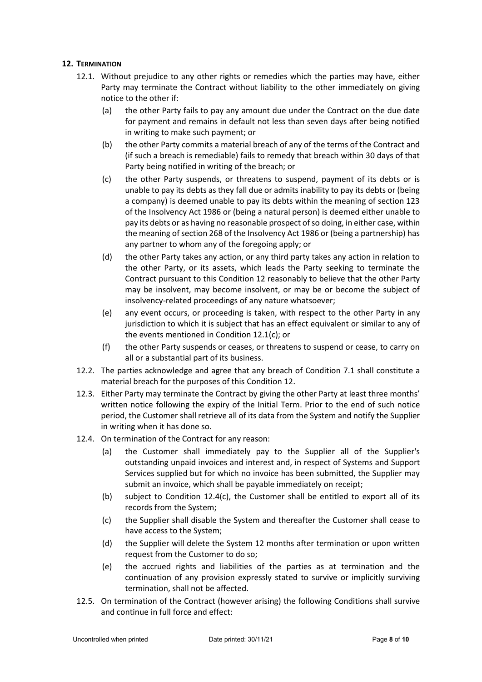### <span id="page-7-2"></span><span id="page-7-1"></span>**12. TERMINATION**

- <span id="page-7-3"></span>12.1. Without prejudice to any other rights or remedies which the parties may have, either Party may terminate the Contract without liability to the other immediately on giving notice to the other if:
	- (a) the other Party fails to pay any amount due under the Contract on the due date for payment and remains in default not less than seven days after being notified in writing to make such payment; or
	- (b) the other Party commits a material breach of any of the terms of the Contract and (if such a breach is remediable) fails to remedy that breach within 30 days of that Party being notified in writing of the breach; or
	- (c) the other Party suspends, or threatens to suspend, payment of its debts or is unable to pay its debts as they fall due or admits inability to pay its debts or (being a company) is deemed unable to pay its debts within the meaning of section 123 of the Insolvency Act 1986 or (being a natural person) is deemed either unable to pay its debts or as having no reasonable prospect of so doing, in either case, within the meaning of section 268 of the Insolvency Act 1986 or (being a partnership) has any partner to whom any of the foregoing apply; or
	- (d) the other Party takes any action, or any third party takes any action in relation to the other Party, or its assets, which leads the Party seeking to terminate the Contract pursuant to this Condition [12](#page-7-1) reasonably to believe that the other Party may be insolvent, may become insolvent, or may be or become the subject of insolvency-related proceedings of any nature whatsoever;
	- (e) any event occurs, or proceeding is taken, with respect to the other Party in any jurisdiction to which it is subject that has an effect equivalent or similar to any of the events mentioned in Condition [12.1](#page-7-2)[\(c\);](#page-7-3) or
	- (f) the other Party suspends or ceases, or threatens to suspend or cease, to carry on all or a substantial part of its business.
- 12.2. The parties acknowledge and agree that any breach of Condition [7.1](#page-3-1) shall constitute a material breach for the purposes of this Condition [12.](#page-7-1)
- <span id="page-7-0"></span>12.3. Either Party may terminate the Contract by giving the other Party at least three months' written notice following the expiry of the Initial Term. Prior to the end of such notice period, the Customer shall retrieve all of its data from the System and notify the Supplier in writing when it has done so.
- <span id="page-7-5"></span><span id="page-7-4"></span>12.4. On termination of the Contract for any reason:
	- (a) the Customer shall immediately pay to the Supplier all of the Supplier's outstanding unpaid invoices and interest and, in respect of Systems and Support Services supplied but for which no invoice has been submitted, the Supplier may submit an invoice, which shall be payable immediately on receipt;
	- (b) subject to Condition [12.4](#page-7-4)[\(c\),](#page-7-5) the Customer shall be entitled to export all of its records from the System;
	- (c) the Supplier shall disable the System and thereafter the Customer shall cease to have access to the System;
	- (d) the Supplier will delete the System 12 months after termination or upon written request from the Customer to do so;
	- (e) the accrued rights and liabilities of the parties as at termination and the continuation of any provision expressly stated to survive or implicitly surviving termination, shall not be affected.
- 12.5. On termination of the Contract (however arising) the following Conditions shall survive and continue in full force and effect: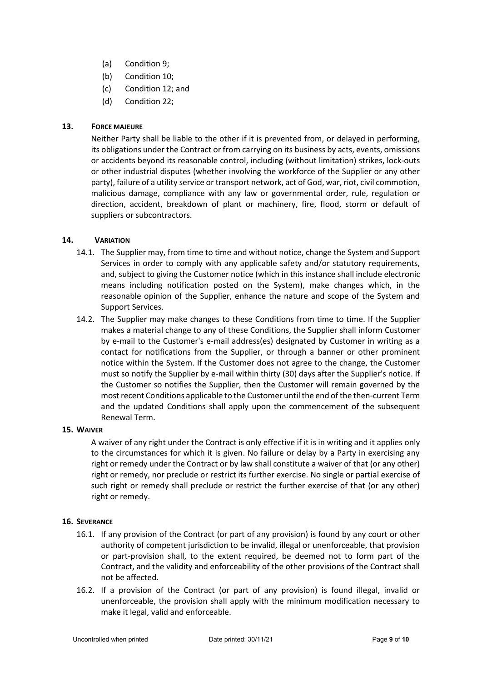- (a) Condition [9;](#page-4-1)
- (b) Condition [10;](#page-4-0)
- (c) Condition [12;](#page-7-1) and
- (d) Condition [22;](#page-9-0)

# **13. FORCE MAJEURE**

Neither Party shall be liable to the other if it is prevented from, or delayed in performing, its obligations under the Contract or from carrying on its business by acts, events, omissions or accidents beyond its reasonable control, including (without limitation) strikes, lock-outs or other industrial disputes (whether involving the workforce of the Supplier or any other party), failure of a utility service or transport network, act of God, war, riot, civil commotion, malicious damage, compliance with any law or governmental order, rule, regulation or direction, accident, breakdown of plant or machinery, fire, flood, storm or default of suppliers or subcontractors.

# **14. VARIATION**

- 14.1. The Supplier may, from time to time and without notice, change the System and Support Services in order to comply with any applicable safety and/or statutory requirements, and, subject to giving the Customer notice (which in this instance shall include electronic means including notification posted on the System), make changes which, in the reasonable opinion of the Supplier, enhance the nature and scope of the System and Support Services.
- 14.2. The Supplier may make changes to these Conditions from time to time. If the Supplier makes a material change to any of these Conditions, the Supplier shall inform Customer by e-mail to the Customer's e-mail address(es) designated by Customer in writing as a contact for notifications from the Supplier, or through a banner or other prominent notice within the System. If the Customer does not agree to the change, the Customer must so notify the Supplier by e-mail within thirty (30) days after the Supplier's notice. If the Customer so notifies the Supplier, then the Customer will remain governed by the most recent Conditions applicable to the Customer until the end of the then-current Term and the updated Conditions shall apply upon the commencement of the subsequent Renewal Term.

### **15. WAIVER**

A waiver of any right under the Contract is only effective if it is in writing and it applies only to the circumstances for which it is given. No failure or delay by a Party in exercising any right or remedy under the Contract or by law shall constitute a waiver of that (or any other) right or remedy, nor preclude or restrict its further exercise. No single or partial exercise of such right or remedy shall preclude or restrict the further exercise of that (or any other) right or remedy.

### **16. SEVERANCE**

- 16.1. If any provision of the Contract (or part of any provision) is found by any court or other authority of competent jurisdiction to be invalid, illegal or unenforceable, that provision or part-provision shall, to the extent required, be deemed not to form part of the Contract, and the validity and enforceability of the other provisions of the Contract shall not be affected.
- 16.2. If a provision of the Contract (or part of any provision) is found illegal, invalid or unenforceable, the provision shall apply with the minimum modification necessary to make it legal, valid and enforceable.